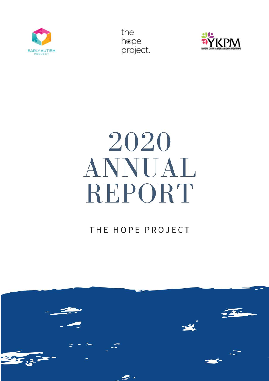



# 2020 ANNUAL REPORT

# THE HOPE PROJECT

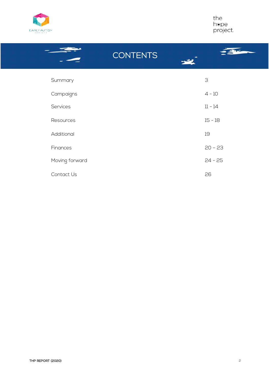

the<br>h®pe<br>project.

|                | 3               |
|----------------|-----------------|
|                | $4 - 10$        |
|                | $11 - 14$       |
|                | $15 - 18$       |
|                | 19              |
|                | $20 - 23$       |
| Moving forward | $24 - 25$       |
|                | 26              |
|                | <b>CONTENTS</b> |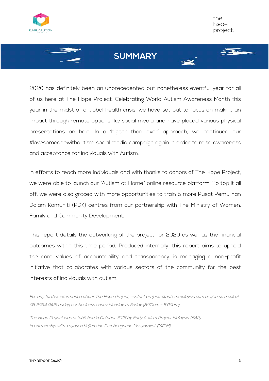



2020 has definitely been an unprecedented but nonetheless eventful year for all of us here at The Hope Project. Celebrating World Autism Awareness Month this year in the midst of a global health crisis, we have set out to focus on making an impact through remote options like social media and have placed various physical presentations on hold. In a 'bigger than ever' approach, we continued our #lovesomeonewithautism social media campaign again in order to raise awareness and acceptance for individuals with Autism.

In efforts to reach more individuals and with thanks to donors of The Hope Project, we were able to launch our 'Autism at Home" online resource platform! To top it all off, we were also graced with more opportunities to train 5 more Pusat Pemulihan Dalam Komuniti (PDK) centres from our partnership with The Ministry of Women, Family and Community Development.

This report details the outworking of the project for 2020 as well as the financial outcomes within this time period. Produced internally, this report aims to uphold the core values of accountability and transparency in managing a non-profit initiative that collaborates with various sectors of the community for the best interests of individuals with autism.

For any further information about The Hope Project, contact projects@autismmalaysia.com or give us a call at 03 2094 0421 during our business hours: Monday to Friday [8:30am – 5:00pm].

The Hope Project was established in October 2016 by Early Autism Project Malaysia (EAP) in partnership with Yayasan Kajian dan Pembangunan Masyarakat (YKPM).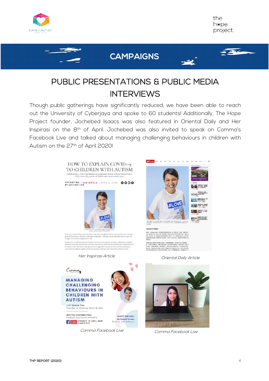

 $\sqrt{2}$ 

## **CAMPAIGNS**

# PUBLIC PRESENTATIONS & PUBLIC MEDIA INTERVIEWS

Though public gatherings have significantly reduced, we have been able to reach out the University of Cyberjaya and spoke to 60 students! Additionally, The Hope Project founder, Jochebed Isaacs was also featured in Oriental Daily and Her Inspirasi on the 8th of April. Jochebed was also invited to speak on Comma's Facebook Live and talked about managing challenging behaviours in children with Autism on the 27<sup>th</sup> of April 2020!

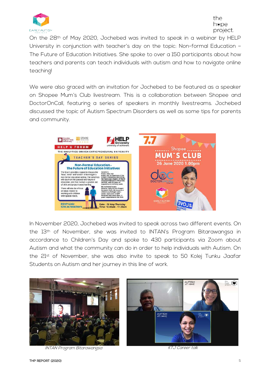

On the 28th of May 2020, Jochebed was invited to speak in a webinar by HELP University in conjunction with teacher's day on the topic: Non-formal Education – The Future of Education Initiatives. She spoke to over a 150 participants about how teachers and parents can teach individuals with autism and how to navigate online teaching!

We were also graced with an invitation for Jochebed to be featured as a speaker on Shopee Mum's Club livestream. This is a collaboration between Shopee and DoctorOnCall, featuring a series of speakers in monthly livestreams. Jochebed discussed the topic of Autism Spectrum Disorders as well as some tips for parents and community.



In November 2020, Jochebed was invited to speak across two different events. On the 13<sup>th</sup> of November, she was invited to INTAN's Program Bitarawangsa in accordance to Children's Day and spoke to 430 participants via Zoom about Autism and what the community can do in order to help individuals with Autism. On the 21st of November, she was also invite to speak to 50 Kolej Tunku Jaafar Students on Autism and her journey in this line of work.



INTAN Program Bitarawangsa KTJ Career talk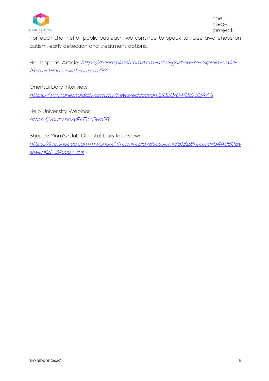

For each channel of public outreach, we continue to speak to raise awareness on autism, early detection and treatment options.

Her Inspirasi Article: https://herinspirasi.com/kem-keluarga/how-to-explain-covid-19-to-children-with-autism/2/

Oriental Daily Interview: https://www.orientaldaily.com.my/news/education/2020/04/08/334771

Help University Webinar: https://youtu.be/yRKEec6wt68

Shopee Mum's Club Oriental Daily Interview: https://live.shopee.com.my/share?from=replay&session=351811&record=944960&v iewer=2173#copy\_link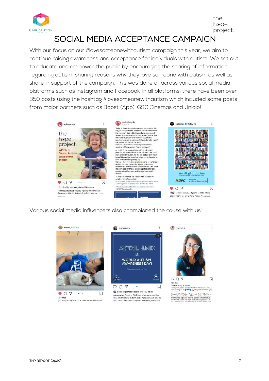

## SOCIAL MEDIA ACCEPTANCE CAMPAIGN

With our focus on our #lovesomeonewithautism campaign this year, we aim to continue raising awareness and acceptance for individuals with autism. We set out to educate and empower the public by encouraging the sharing of information regarding autism, sharing reasons why they love someone with autism as well as share in support of the campaign. This was done all across various social media platforms such as Instagram and Facebook. In all platforms, there have been over 350 posts using the hashtag #lovesomeonewithautism which included some posts from major partners such as Boost (App), GSC Cinemas and Uniqlo!



Various social media influencers also championed the cause with us!







Enderstand Lety to wave.<br>Today in support for World Autism Awareness Day, I<br>am wearing blue  $\bigvee_{n=1}^{\infty} A^n$ Repost @eapmalaysia<br>Today is World Autism Awareness Day! 1:59 children<br>have autism and almost 80% are able to c their typical age with early diagnosis and effective<br>treatment! Know the signs and act early today! Let's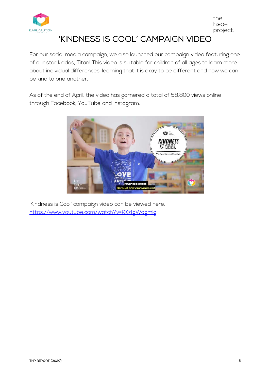

'KINDNESS IS COOL' CAMPAIGN VIDEO

the h⊛pe project.

For our social media campaign, we also launched our campaign video featuring one of our star kiddos, Titan! This video is suitable for children of all ages to learn more about individual differences, learning that it is okay to be different and how we can be kind to one another.

As of the end of April, the video has garnered a total of 58,800 views online through Facebook, YouTube and Instagram.



'Kindness is Cool' campaign video can be viewed here: https://www.youtube.com/watch?v=RKz1gWogmig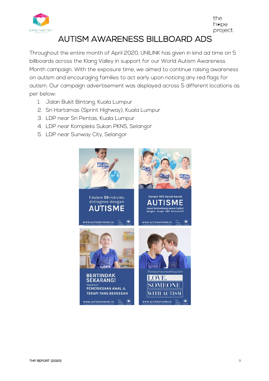

## AUTISM AWARENESS BILLBOARD ADS

Throughout the entire month of April 2020, UNILINK has given in kind ad time on 5 billboards across the Klang Valley in support for our World Autism Awareness Month campaign. With the exposure time, we aimed to continue raising awareness on autism and encouraging families to act early upon noticing any red flags for autism. Our campaign advertisement was displayed across 5 different locations as per below:

- 1. Jalan Bukit Bintang, Kuala Lumpur
- 2. Sri Hartamas (Sprint Highway), Kuala Lumpur
- 3. LDP near Sri Pentas, Kuala Lumpur
- 4. LDP near Kompleks Sukan PKNS, Selangor
- 5. LDP near Sunway City, Selangor

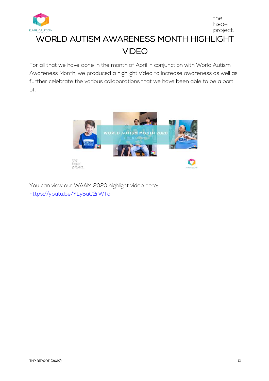

the hope project. WORLD AUTISM AWARENESS MONTH HIGHLIGHT VIDEO

For all that we have done in the month of April in conjunction with World Autism Awareness Month, we produced a highlight video to increase awareness as well as further celebrate the various collaborations that we have been able to be a part of.



You can view our WAAM 2020 highlight video here: https://youtu.be/YLy5uC2rWTo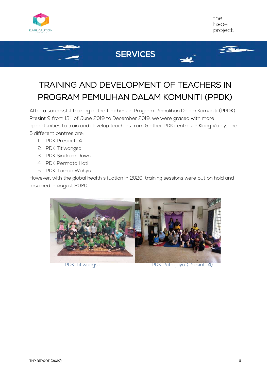



536

# **SERVICES**

# TRAINING AND DEVELOPMENT OF TEACHERS IN PROGRAM PEMULIHAN DALAM KOMUNITI (PPDK)

After a successful training of the teachers in Program Pemulihan Dalam Komuniti (PPDK) Presint 9 from 13th of June 2019 to December 2019, we were graced with more opportunities to train and develop teachers from 5 other PDK centres in Klang Valley. The 5 different centres are:

- 1. PDK Presinct 14
- 2. PDK Titiwangsa
- 3. PDK Sindrom Down
- 4. PDK Permata Hati
- 5. PDK Taman Wahyu

However, with the global health situation in 2020, training sessions were put on hold and resumed in August 2020.

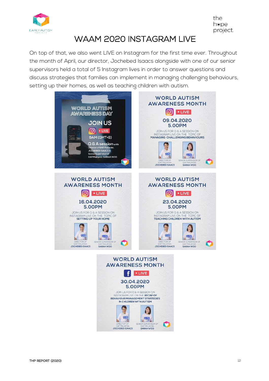

# WAAM 2020 INSTAGRAM LIVE

On top of that, we also went LIVE on Instagram for the first time ever. Throughout the month of April, our director, Jochebed Isaacs alongside with one of our senior supervisors held a total of 5 Instagram lives in order to answer questions and discuss strategies that families can implement in managing challenging behaviours, setting up their homes, as well as teaching children with autism.



 $\mathbf{A}$ 

 $\frac{\text{max}}{\text{max}}$ **Italy** 

SARAH WOO

匹

JOCHEBED ISAACS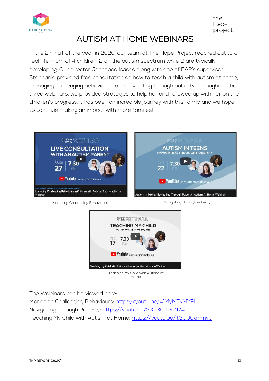

# AUTISM AT HOME WEBINARS

In the 2<sup>nd</sup> half of the year in 2020, our team at The Hope Project reached out to a real-life mom of 4 children, 2 on the autism spectrum while 2 are typically developing. Our director Jochebed Isaacs along with one of EAP's supervisor, Stephanie provided free consultation on how to teach a child with autism at home, managing challenging behaviours, and navigating through puberty. Throughout the three webinars, we provided strategies to help her and followed up with her on the children's progress. It has been an incredible journey with this family and we hope to continue making an impact with more families!



Managing Challenging Behaviours **National Studies Challenging Behaviours** Navigating Through Puberty



Teaching My Child with Autism at Home

The Webinars can be viewed here:

Managing Challenging Behaviours: https://youtu.be/41MyMTKMYRI Navigating Through Puberty: https://youtu.be/9XT3CDPuN74 Teaching My Child with Autism at Home: https://youtu.be/itGJU0kmmvg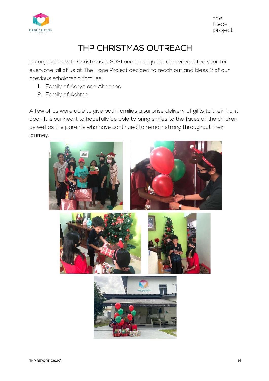

# THP CHRISTMAS OUTREACH

In conjunction with Christmas in 2021 and through the unprecedented year for everyone, all of us at The Hope Project decided to reach out and bless 2 of our previous scholarship families:

- 1. Family of Aaryn and Abrianna
- 2. Family of Ashton

A few of us were able to give both families a surprise delivery of gifts to their front door. It is our heart to hopefully be able to bring smiles to the faces of the children as well as the parents who have continued to remain strong throughout their journey.

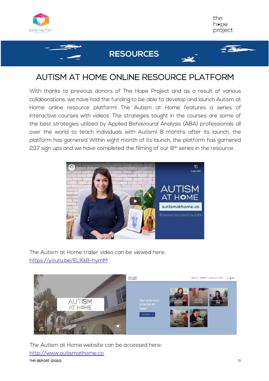



## **RESOURCES**

## AUTISM AT HOME ONLINE RESOURCE PLATFORM

With thanks to previous donors of The Hope Project and as a result of various collaborations, we have had the funding to be able to develop and launch Autism at Home online resource platform! The Autism at Home features a series of interactive courses with videos. The strategies taught in the courses are some of the best strategies utilized by Applied Behavioural Analysis (ABA) professionals all over the world to teach individuals with Autism! 8 months after its launch, the platform has garnered Within eight month of its launch, the platform has garnered 237 sign ups and we have completed the filming of our 8<sup>th</sup> series in the resource.



The Autism at Home trailer video can be viewed here: https://youtu.be/ELIKkB-hymM



THE REPORT (2020) THE REPORT (2020) The Autism at Home website can be accessed here: http://www.autismathome.co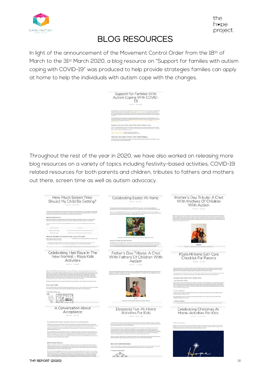

## BLOG RESOURCES

In light of the announcement of the Movement Control Order from the 18th of March to the 31st March 2020, a blog resource on "Support for families with autism coping with COVID-19" was produced to help provide strategies families can apply at home to help the individuals with autism cope with the changes.

|               | Autism Coping With COVID-                                                                                                                                                                                                                                                                                                                                                                                                                                                                                          |
|---------------|--------------------------------------------------------------------------------------------------------------------------------------------------------------------------------------------------------------------------------------------------------------------------------------------------------------------------------------------------------------------------------------------------------------------------------------------------------------------------------------------------------------------|
|               | <b>B-TAP Race: The 41 SE 2000</b>                                                                                                                                                                                                                                                                                                                                                                                                                                                                                  |
| to incidents. | Unit Departure 2019 His says top interpretation the conversion of EUS discouss at COVID-79 Ca Western DI<br>Planty 2020, the Miley Key Point Massive's Office antenness & Concerns Lund Volume New State Relation & 23 at Man in<br>2005 chasting in the eds and service and the final parties in the way interested to address Part business of widths are additionally<br>Restricted European Market silvers and an activity and the position of the control of the control of the project for your distribution |
|               | This policie will find an increasing attraction any doll spale of forms for fields once child with include a better paintings, as analyze in<br>Wart's Bellevigieds trappined and cure thus one of concellent general freeshoot foundation and cultural applications and collect that called news can<br>COVID-19, do information internal the first first term for the second and for a state of the last time of                                                                                                 |
|               | Explaining To Your Child About The Need To Stay Home                                                                                                                                                                                                                                                                                                                                                                                                                                                               |
|               | Historian associated as the properties as that sends of the device and intermediated and details there in the mail may<br>Bright be reading a social story adjusted to user child's least of crafts transition to exhibit disease COVIN 17. Bulliances or personal<br>this two control of the control of the control of the control of the con-                                                                                                                                                                    |
|               | 1. But child recognitions as in Italy passed.<br>"See which would exist a contract of more                                                                                                                                                                                                                                                                                                                                                                                                                         |
|               | Teaching Your Child To Wash Their Hands Property                                                                                                                                                                                                                                                                                                                                                                                                                                                                   |

Throughout the rest of the year in 2020, we have also worked on releasing more blog resources on a variety of topics including festivity-based activities, COVID-19 related resources for both parents and children, tributes to fathers and mothers out there, screen time as well as autism advocacy.

| Should My Child Be Getting?<br>By Life Travel 1, 19449 14, 2010<br>An entert generation stratution technique conservation seasons and handles constant that the first team and team and a lighter                                                                                  | Allaho Lastia 2001<br>constanting the meld when this yiel (with Castel 2020 militar the newbors created apailt on), by plat to bare<br>sent Conter Egg (tiuming for the kids, as we spend Electronic military pres<br>privativas annostrus                                                                                                                                                                                                                                                                              | With Mothers Of Children<br>With Autism<br><b>By GOTTLEY / WALKERS</b>                                                                                                                                                                                                          |
|------------------------------------------------------------------------------------------------------------------------------------------------------------------------------------------------------------------------------------------------------------------------------------|-------------------------------------------------------------------------------------------------------------------------------------------------------------------------------------------------------------------------------------------------------------------------------------------------------------------------------------------------------------------------------------------------------------------------------------------------------------------------------------------------------------------------|---------------------------------------------------------------------------------------------------------------------------------------------------------------------------------------------------------------------------------------------------------------------------------|
| at take tiller. This has for two y process worsted by - have ready when their disable and by be gott to "file ( are the poper of a<br>mapping offices of massive committee on a Million complete the different with active?                                                        | soon, noo ihaaja for Eask 17 moodoos oo han ani ayaan in faraa midaalaan ah dhaalaa ay ah silaa iyo markaada<br>ah A taar ayaf ka tala had ahaan iyoffaa ay chaaly ku taar ah ah ah ah aan ilaa taaraa soo oo ah Come ahana<br>maala                                                                                                                                                                                                                                                                                    | Globburn and state interest of USs anarizate to the back beach fiched in the second dealership by developing the maintenance of a product                                                                                                                                       |
| Age Recommendations.<br>Next by each classification of tegalras this test to interact autority with classical footbilist strength - we which interaction                                                                                                                           |                                                                                                                                                                                                                                                                                                                                                                                                                                                                                                                         | the case and has more to the Section that start that we are endustry and are to more through the ventile. We<br>Infinitely where it the accusto in teacher with an ad the air through worker channels be a polar constraint of<br>Ab                                            |
| participants and proportion of the medicine to paralyze of the based were child, as perceived as from speed<br>The Avenue Acelery of Feelerce tysis previdet pottom is an term or the recommended (except of unstryling). If                                                       |                                                                                                                                                                                                                                                                                                                                                                                                                                                                                                                         | Advertisement for the stage of their set fills at a filter                                                                                                                                                                                                                      |
|                                                                                                                                                                                                                                                                                    |                                                                                                                                                                                                                                                                                                                                                                                                                                                                                                                         |                                                                                                                                                                                                                                                                                 |
| dollar 10 months<br><b>Between 1918 law play</b><br>significantly complete with the fields complete station and condi-                                                                                                                                                             |                                                                                                                                                                                                                                                                                                                                                                                                                                                                                                                         |                                                                                                                                                                                                                                                                                 |
| February 2-3 percy<br>West founds at this any related to the                                                                                                                                                                                                                       |                                                                                                                                                                                                                                                                                                                                                                                                                                                                                                                         |                                                                                                                                                                                                                                                                                 |
| What Are The Effects Of Excessive Screen Time On My Child?<br>Freetomary data train a study by the 1<br>Mobil/States: Practition Les viennet<br>The first painting of the control was cold and his way in this trans-                                                              | Emprison's ESSA<br><b>TIME AND AGAINST AND T</b>                                                                                                                                                                                                                                                                                                                                                                                                                                                                        |                                                                                                                                                                                                                                                                                 |
| * ARE users than it applicant affirms as what real of the literature function for most frameworks as a star<br>* Children and into their factures adaptic line time political connections of participate lines                                                                     | EASTER ACTIVITIES FOR YOUR CHILEREN<br>that we printed the of a righter riding and complete than line Canny in their flutes election and sign                                                                                                                                                                                                                                                                                                                                                                           |                                                                                                                                                                                                                                                                                 |
| The most five spectra the correlation had probation (Webers should be seening interactioned a discipation inflation                                                                                                                                                                | $\label{eq:main} \begin{minipage}[t]{0.9\textwidth} \begin{minipage}[t]{0.9\textwidth} \begin{itemize} \begin{itemize} \begin{itemize} \begin{itemize} \end{itemize} \end{itemize} \end{itemize} \end{itemize} \end{minipage}[t]{0.9\textwidth} \begin{minipage}[t]{0.9\textwidth} \begin{itemize} \end{itemize} \end{minipage}[t]{0.9\textwidth} \begin{minipage}[t]{0.9\textwidth} \begin{itemize} \end{itemize} \end{minipage}[t]{0.9\textwidth} \begin{minipage}[t]{0.9\textwidth} \begin{itemize} \end{itemize} \$ | <b>Hannah</b><br>Henry's a a wester of fees and is married to hor hostwed. Call                                                                                                                                                                                                 |
|                                                                                                                                                                                                                                                                                    |                                                                                                                                                                                                                                                                                                                                                                                                                                                                                                                         |                                                                                                                                                                                                                                                                                 |
| Celebrating Hari Raya In The                                                                                                                                                                                                                                                       | Father's Day Tribute: A Chat                                                                                                                                                                                                                                                                                                                                                                                                                                                                                            | #SafeAtHome Self-Care                                                                                                                                                                                                                                                           |
| New Normal - Raya Kids                                                                                                                                                                                                                                                             | With Fathers Of Children With                                                                                                                                                                                                                                                                                                                                                                                                                                                                                           | <b>Checklist For Parents</b>                                                                                                                                                                                                                                                    |
| Activities                                                                                                                                                                                                                                                                         | Autism                                                                                                                                                                                                                                                                                                                                                                                                                                                                                                                  | <b>AUDIO ASSES</b>                                                                                                                                                                                                                                                              |
| <b>NOTION: HUMIER</b>                                                                                                                                                                                                                                                              | flyDeP Room 11.0000                                                                                                                                                                                                                                                                                                                                                                                                                                                                                                     |                                                                                                                                                                                                                                                                                 |
| With Renades DDVD 19 are to real distribution "was morell" that allows went of our wave of Part, Woosaries VA                                                                                                                                                                      | Fortunes stud 1 offices pat this Generality of existit their discussion for translag ethilities. Manuellal bad for the change of the selection                                                                                                                                                                                                                                                                                                                                                                          | le trape l'insensita, du sociéte bonaries surfats (2010) il peilles. Le rure proble ille tarrent lumps<br>page rechaples son est order prouve de centre i bonaries obres el distrito s la revoltator (line set<br>manifes consi se l                                            |
| contradicts will necessary to differ the professionality. The year with the films to the grammatic CHPCO per tok the moment.<br>Has no vary luminosity to adapt that keep the statement of particular necessary in a small partic                                                  | published as following about the child the composition of the series of the series of up the control of the animal fields a capital<br>player of father has the bloodings and heldslips.                                                                                                                                                                                                                                                                                                                                | No recipio e tratti ma se altitudine e era a di les tradizzata del ste una finale al tenir imposto dura, trazerial<br>Il solat dans la jueva madra a lla i descrita e la seria solata del saturno i the 13 strate di partite.                                                   |
| galaxing designer Starb reconnell Stating models due the end have the collections. The stab system that flow<br>Understand constitutions are also assumed that the thinking this year. Adviced the language was on the required                                                    |                                                                                                                                                                                                                                                                                                                                                                                                                                                                                                                         | 10 #SAFEATHOME SELF-CARE TIPS                                                                                                                                                                                                                                                   |
| The Back-Sath Pick Exclusive attends any published by make departments the Report in interest source                                                                                                                                                                               |                                                                                                                                                                                                                                                                                                                                                                                                                                                                                                                         | 1. GET AN EARLY N (GHT)                                                                                                                                                                                                                                                         |
| Arts and Crafts<br>Art card of allow achieves are a presidents and historical and several way over child's creatures and the environmental historical agent of<br>and build arts more stablished at                                                                                |                                                                                                                                                                                                                                                                                                                                                                                                                                                                                                                         | A gain spherior contact temperature and constructions your probability during the text framework fluctuation co<br>History: If telephone in the yell part of our media, we encourage through team that being to be look 12 minute<br>and an expectedly pressured for periodical |
| <b>I. Hari Raya Colouring</b>                                                                                                                                                                                                                                                      |                                                                                                                                                                                                                                                                                                                                                                                                                                                                                                                         | <b>L. STAY AVBRATED</b>                                                                                                                                                                                                                                                         |
| 何 白白 国                                                                                                                                                                                                                                                                             |                                                                                                                                                                                                                                                                                                                                                                                                                                                                                                                         | and muscle arises, promotes prigran Artisas Arphices, healthy goal<br>fract glassing site, and plastings mood<br>Hay hydrotectivem and that southing the me<br>memberi in digitatan tihantan a dagi besarra ia sai ten sebuah sati                                              |
|                                                                                                                                                                                                                                                                                    | strek<br>Lohe to a futbol of three bookline children, and a reamed to furnite                                                                                                                                                                                                                                                                                                                                                                                                                                           | caracter solicità non                                                                                                                                                                                                                                                           |
|                                                                                                                                                                                                                                                                                    |                                                                                                                                                                                                                                                                                                                                                                                                                                                                                                                         | 2. HEENE A VWEAT<br>ally below of teamers. There were a stress association                                                                                                                                                                                                      |
| A Conversation About                                                                                                                                                                                                                                                               | Deepavali Fun-At-Home                                                                                                                                                                                                                                                                                                                                                                                                                                                                                                   | Celebrating Christmas At                                                                                                                                                                                                                                                        |
| Acceptance                                                                                                                                                                                                                                                                         | <b>Activities For Kids</b>                                                                                                                                                                                                                                                                                                                                                                                                                                                                                              | Home-Activities For Kids                                                                                                                                                                                                                                                        |
| <b>Bird has president</b>                                                                                                                                                                                                                                                          | Automatical Concentration of the Automatical                                                                                                                                                                                                                                                                                                                                                                                                                                                                            | ing four lines. If there were \$1.000.                                                                                                                                                                                                                                          |
| We are pleased about what in haspening by the world and our finance power to the pergilin amount that high                                                                                                                                                                         |                                                                                                                                                                                                                                                                                                                                                                                                                                                                                                                         |                                                                                                                                                                                                                                                                                 |
| it des par françaises, aussi et des auteurs Casiner Paul Auchenveller acréée par le série de vezas y l'esse rapres par<br>et de la série de la mentière résulte. This prince française fois par le compt et par le son en univers                                                  | to Hangois attend be list wear of the products on \$4.000 pm (CD), a Haroft has their and fully to the law menoment of<br>June and writingly out come furthing, unleasing a neuron meet intra-Countinum Movement Countrinum 8.2-8.<br>It the introduce Coast & Shower in third colors as stand.                                                                                                                                                                                                                         | "We the second in the Julia."<br>e of the unar subsequent aloget his involving and do<br>I restricted that Christian is just a coverfrom the                                                                                                                                    |
| <b><i><u><u>Adamskuud</u></u></i></b>                                                                                                                                                                                                                                              | this begins and controller compacts in their profession of Corel (1) can obtain a simulated in the state of th<br>Geological Stephen Realty is a completely behind to provide a state of the state of the RPS entropy better of<br>G                                                                                                                                                                                                                                                                                    | That general increasing animal $\lambda$ is a Conserver again the event respect source of the spin the boundary of the continuum containing the continuum containing of the containing of the containing of the containing of the                                               |
| We have all \$37 Millions in earthy she World Automobile Awareness Mount aroundly to advance the property and revisions of<br>and colours with auditorial and wickeling and contractions, its advicence of his last discussion by last history and contract of the contract of the | The new matrix) and live real take more creative and longarize it this nay while plannies does symble the pandomic, the<br>column of the Unema of the fundations will be one that is to a high act considered tamin fundit:                                                                                                                                                                                                                                                                                             |                                                                                                                                                                                                                                                                                 |
| el una schiedad las antes, speciale e mendidadella una sella effecta una costa al una segundaria e per a control de la control de la control de la control de la control de la control de la control de la control de la cont                                                      | Check out service from and colour that sources and dip with sensitive and class underlinear throws and of spherical of lights in the characteristic lights<br>of Brazzent brighter up there seemed after the and if worked are there with booth and business                                                                                                                                                                                                                                                            |                                                                                                                                                                                                                                                                                 |
|                                                                                                                                                                                                                                                                                    |                                                                                                                                                                                                                                                                                                                                                                                                                                                                                                                         |                                                                                                                                                                                                                                                                                 |
| Why Acceptance Matters<br>historica tu uradita posuli calcini. Pometa vasti et tosi patriag transpirevali anno sigloso a tua i rigiti nadat, si the<br>podertangages ora can sale sa franceschulare the commanders with divingata razori. In the declering                         | Arts and Crafts Artivities<br>Arts and Listbuard Michigan any produced consideration of the state of the second and article in the article agents                                                                                                                                                                                                                                                                                                                                                                       |                                                                                                                                                                                                                                                                                 |
| chronio.ductory Ole Hyddin measure. The talka ad all would be these sease twices and it class bling that insurance anyon when I has<br>contract and start and an analysis are too real at later than                                                                               | and an interaction of the position and loved by a public products respective a set form and distance and products in an area<br>I. Despowali Decreation                                                                                                                                                                                                                                                                                                                                                                 |                                                                                                                                                                                                                                                                                 |
| The presented togeth by the contraction of the presentation respectively controlled in a third with second spectrum of the contraction of the contraction of the contraction of the contraction of the contraction of the con                                                      |                                                                                                                                                                                                                                                                                                                                                                                                                                                                                                                         |                                                                                                                                                                                                                                                                                 |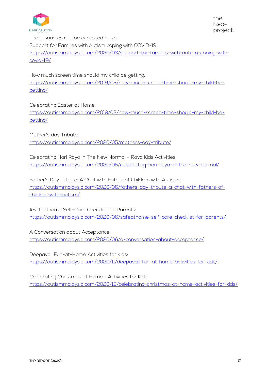

The resources can be accessed here: Support for Families with Autism coping with COVID-19: https://autismmalaysia.com/2020/03/support-for-families-with-autism-coping-withcovid-19/

How much screen time should my child be getting: https://autismmalaysia.com/2019/03/how-much-screen-time-should-my-child-begetting/

Celebrating Easter at Home:

https://autismmalaysia.com/2019/03/how-much-screen-time-should-my-child-begetting/

Mother's day Tribute: https://autismmalaysia.com/2020/05/mothers-day-tribute/

Celebrating Hari Raya in The New Normal – Raya Kids Activities: https://autismmalaysia.com/2020/05/celebrating-hari-raya-in-the-new-normal/

Father's Day Tribute: A Chat with Father of Children with Autism: https://autismmalaysia.com/2020/06/fathers-day-tribute-a-chat-with-fathers-ofchildren-with-autism/

#Safeathome Self-Care Checklist for Parents: https://autismmalaysia.com/2020/06/safeathome-self-care-checklist-for-parents/

A Conversation about Acceptance: https://autismmalaysia.com/2020/06/a-conversation-about-acceptance/

Deepavali Fun-at-Home Activities for Kids: https://autismmalaysia.com/2020/11/deepavali-fun-at-home-activities-for-kids/

Celebrating Christmas at Home - Activities for Kids: https://autismmalaysia.com/2020/12/celebrating-christmas-at-home-activities-for-kids/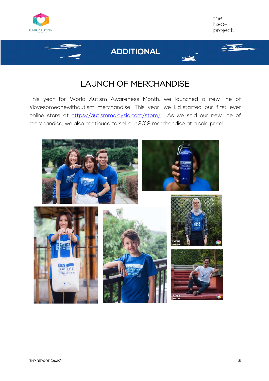



#### **ADDITIONAL**



## LAUNCH OF MERCHANDISE

This year for World Autism Awareness Month, we launched a new line of #lovesomeonewithautism merchandise! This year, we kickstarted our first ever online store at https://autismmalaysia.com/store/ ! As we sold our new line of merchandise, we also continued to sell our 2019 merchandise at a sale price!

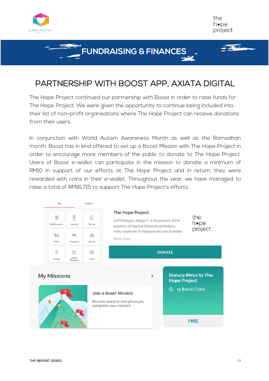

l

#### **FUNDRAISING & FINANCES**

# PARTNERSHIP WITH BOOST APP, AXIATA DIGITAL

The Hope Project continued our partnership with Boost in order to raise funds for The Hope Project. We were given the opportunity to continue being included into their list of non-profit organisations where The Hope Project can receive donations from their users.

In conjunction with World Autism Awareness Month as well as the Ramadhan month, Boost has in kind offered to set up a Boost Mission with The Hope Project in order to encourage more members of the public to donate to The Hope Project. Users of Boost e-wallet can participate in the mission to donate a minimum of RM10 in support of our efforts at The Hope Project and in return, they were rewarded with coins in their e-wallet. Throughout the year, we have managed to raise a total of RM16,715 to support The Hope Project's efforts.



the h⊛pe project.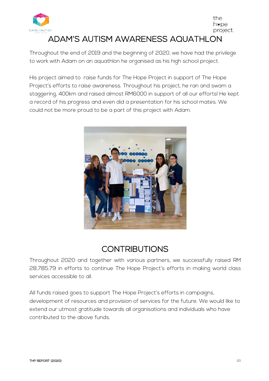

#### the h⊛pe project. ADAM'S AUTISM AWARENESS AQUATHLON

Throughout the end of 2019 and the beginning of 2020, we have had the privilege to work with Adam on an aquathlon he organised as his high school project.

His project aimed to raise funds for The Hope Project in support of The Hope Project's efforts to raise awareness. Throughout his project, he ran and swam a staggering, 400km and raised almost RM6000 in support of all our efforts! He kept a record of his progress and even did a presentation for his school mates. We could not be more proud to be a part of this project with Adam.



# **CONTRIBUTIONS**

Throughout 2020 and together with various partners, we successfully raised RM 28,785.79 in efforts to continue The Hope Project's efforts in making world class services accessible to all.

All funds raised goes to support The Hope Project's efforts in campaigns, development of resources and provision of services for the future. We would like to extend our utmost gratitude towards all organisations and individuals who have contributed to the above funds.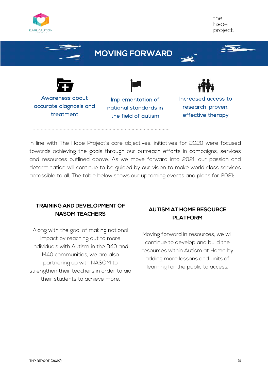

# **MOVING FORWARD**



Awareness about accurate diagnosis and treatment

Implementation of national standards in the field of autism



Increased access to research-proven, effective therapy

In line with The Hope Project's core objectives, initiatives for 2020 were focused towards achieving the goals through our outreach efforts in campaigns, services and resources outlined above. As we move forward into 2021, our passion and determination will continue to be guided by our vision to make world class services accessible to all. The table below shows our upcoming events and plans for 2021:

#### **TRAINING AND DEVELOPMENT OF NASOM TEACHERS**

Along with the goal of making national impact by reaching out to more individuals with Autism in the B40 and M40 communities, we are also partnering up with NASOM to strengthen their teachers in order to aid their students to achieve more.

#### **AUTISM AT HOME RESOURCE PLATFORM**

Moving forward in resources, we will continue to develop and build the resources within Autism at Home by adding more lessons and units of learning for the public to access.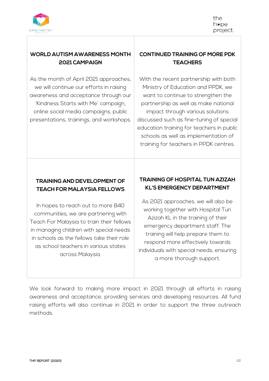

#### **WORLD AUTISM AWARENESS MONTH 2021 CAMPAIGN**

As the month of April 2021 approaches, we will continue our efforts in raising awareness and acceptance through our 'Kindness Starts with Me' campaign, online social media campaigns, public presentations, trainings, and workshops.

#### **CONTINUED TRAINING OF MORE PDK TEACHERS**

With the recent partnership with both Ministry of Education and PPDK, we want to continue to strengthen the partnership as well as make national impact through various solutions discussed such as fine-tuning of special education training for teachers in public schools as well as implementation of training for teachers in PPDK centres.

#### **TRAINING AND DEVELOPMENT OF TEACH FOR MALAYSIA FELLOWS**

In hopes to reach out to more B40 communities, we are partnering with Teach For Malaysia to train their fellows in managing children with special needs in schools as the fellows take their role as school teachers in various states across Malaysia.

#### **TRAINING OF HOSPITAL TUN AZIZAH KL'S EMERGENCY DEPARTMENT**

As 2021 approaches, we will also be working together with Hospital Tun Azizah KL in the training of their emergency department staff. The training will help prepare them to respond more effectively towards individuals with special needs, ensuring a more thorough support.

We look forward to making more impact in 2021 through all efforts in raising awareness and acceptance, providing services and developing resources. All fund raising efforts will also continue in 2021 in order to support the three outreach methods.